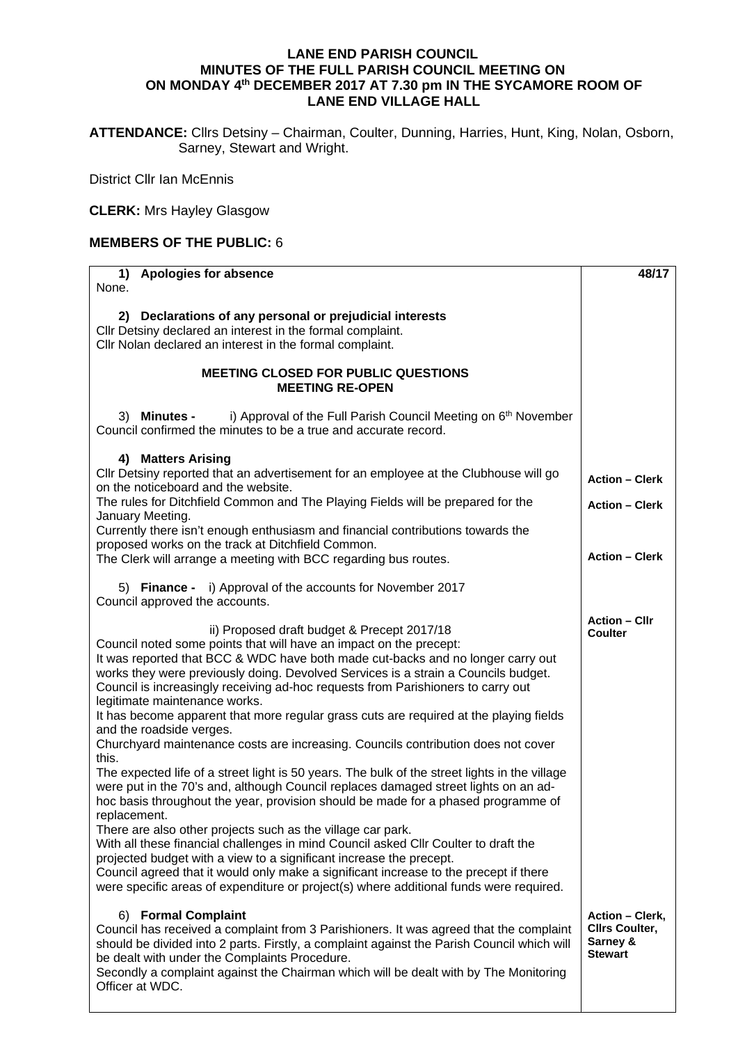## **LANE END PARISH COUNCIL MINUTES OF THE FULL PARISH COUNCIL MEETING ON ON MONDAY 4th DECEMBER 2017 AT 7.30 pm IN THE SYCAMORE ROOM OF LANE END VILLAGE HALL**

**ATTENDANCE:** Cllrs Detsiny – Chairman, Coulter, Dunning, Harries, Hunt, King, Nolan, Osborn, Sarney, Stewart and Wright.

District Cllr Ian McEnnis

**CLERK:** Mrs Hayley Glasgow

## **MEMBERS OF THE PUBLIC:** 6

| <b>Apologies for absence</b><br>1)                                                                                                                                                                                                                                                                                                                                                                                                                                                                                                                                                                                                                                                                                                                                                                                                                                                                                                                                                                                                                                                                                                                                                                                                                                                                                                               | 48/17                                                                         |
|--------------------------------------------------------------------------------------------------------------------------------------------------------------------------------------------------------------------------------------------------------------------------------------------------------------------------------------------------------------------------------------------------------------------------------------------------------------------------------------------------------------------------------------------------------------------------------------------------------------------------------------------------------------------------------------------------------------------------------------------------------------------------------------------------------------------------------------------------------------------------------------------------------------------------------------------------------------------------------------------------------------------------------------------------------------------------------------------------------------------------------------------------------------------------------------------------------------------------------------------------------------------------------------------------------------------------------------------------|-------------------------------------------------------------------------------|
| None.                                                                                                                                                                                                                                                                                                                                                                                                                                                                                                                                                                                                                                                                                                                                                                                                                                                                                                                                                                                                                                                                                                                                                                                                                                                                                                                                            |                                                                               |
| 2) Declarations of any personal or prejudicial interests<br>Cllr Detsiny declared an interest in the formal complaint.<br>Cllr Nolan declared an interest in the formal complaint.                                                                                                                                                                                                                                                                                                                                                                                                                                                                                                                                                                                                                                                                                                                                                                                                                                                                                                                                                                                                                                                                                                                                                               |                                                                               |
| <b>MEETING CLOSED FOR PUBLIC QUESTIONS</b><br><b>MEETING RE-OPEN</b>                                                                                                                                                                                                                                                                                                                                                                                                                                                                                                                                                                                                                                                                                                                                                                                                                                                                                                                                                                                                                                                                                                                                                                                                                                                                             |                                                                               |
| i) Approval of the Full Parish Council Meeting on 6 <sup>th</sup> November<br>3) Minutes -<br>Council confirmed the minutes to be a true and accurate record.                                                                                                                                                                                                                                                                                                                                                                                                                                                                                                                                                                                                                                                                                                                                                                                                                                                                                                                                                                                                                                                                                                                                                                                    |                                                                               |
| 4) Matters Arising<br>Cllr Detsiny reported that an advertisement for an employee at the Clubhouse will go<br>on the noticeboard and the website.                                                                                                                                                                                                                                                                                                                                                                                                                                                                                                                                                                                                                                                                                                                                                                                                                                                                                                                                                                                                                                                                                                                                                                                                | <b>Action - Clerk</b>                                                         |
| The rules for Ditchfield Common and The Playing Fields will be prepared for the<br>January Meeting.                                                                                                                                                                                                                                                                                                                                                                                                                                                                                                                                                                                                                                                                                                                                                                                                                                                                                                                                                                                                                                                                                                                                                                                                                                              | <b>Action - Clerk</b>                                                         |
| Currently there isn't enough enthusiasm and financial contributions towards the<br>proposed works on the track at Ditchfield Common.                                                                                                                                                                                                                                                                                                                                                                                                                                                                                                                                                                                                                                                                                                                                                                                                                                                                                                                                                                                                                                                                                                                                                                                                             |                                                                               |
| The Clerk will arrange a meeting with BCC regarding bus routes.                                                                                                                                                                                                                                                                                                                                                                                                                                                                                                                                                                                                                                                                                                                                                                                                                                                                                                                                                                                                                                                                                                                                                                                                                                                                                  | <b>Action - Clerk</b>                                                         |
| 5) Finance - i) Approval of the accounts for November 2017<br>Council approved the accounts.                                                                                                                                                                                                                                                                                                                                                                                                                                                                                                                                                                                                                                                                                                                                                                                                                                                                                                                                                                                                                                                                                                                                                                                                                                                     |                                                                               |
| ii) Proposed draft budget & Precept 2017/18<br>Council noted some points that will have an impact on the precept:<br>It was reported that BCC & WDC have both made cut-backs and no longer carry out<br>works they were previously doing. Devolved Services is a strain a Councils budget.<br>Council is increasingly receiving ad-hoc requests from Parishioners to carry out<br>legitimate maintenance works.<br>It has become apparent that more regular grass cuts are required at the playing fields<br>and the roadside verges.<br>Churchyard maintenance costs are increasing. Councils contribution does not cover<br>this.<br>The expected life of a street light is 50 years. The bulk of the street lights in the village<br>were put in the 70's and, although Council replaces damaged street lights on an ad-<br>hoc basis throughout the year, provision should be made for a phased programme of<br>replacement.<br>There are also other projects such as the village car park.<br>With all these financial challenges in mind Council asked Cllr Coulter to draft the<br>projected budget with a view to a significant increase the precept.<br>Council agreed that it would only make a significant increase to the precept if there<br>were specific areas of expenditure or project(s) where additional funds were required. | <b>Action - Cllr</b><br><b>Coulter</b>                                        |
| 6) Formal Complaint<br>Council has received a complaint from 3 Parishioners. It was agreed that the complaint<br>should be divided into 2 parts. Firstly, a complaint against the Parish Council which will<br>be dealt with under the Complaints Procedure.<br>Secondly a complaint against the Chairman which will be dealt with by The Monitoring<br>Officer at WDC.                                                                                                                                                                                                                                                                                                                                                                                                                                                                                                                                                                                                                                                                                                                                                                                                                                                                                                                                                                          | <b>Action - Clerk,</b><br><b>Clirs Coulter,</b><br>Sarney &<br><b>Stewart</b> |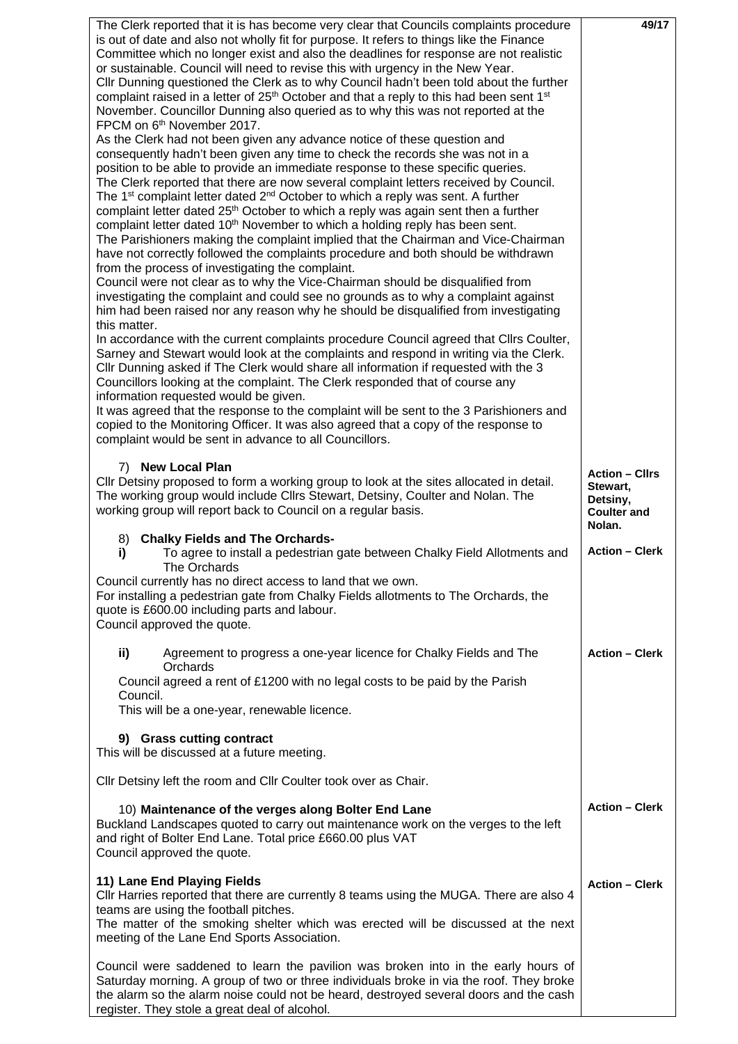| The Clerk reported that it is has become very clear that Councils complaints procedure<br>is out of date and also not wholly fit for purpose. It refers to things like the Finance<br>Committee which no longer exist and also the deadlines for response are not realistic<br>or sustainable. Council will need to revise this with urgency in the New Year.<br>Cllr Dunning questioned the Clerk as to why Council hadn't been told about the further<br>complaint raised in a letter of $25th$ October and that a reply to this had been sent 1 <sup>st</sup><br>November. Councillor Dunning also queried as to why this was not reported at the<br>FPCM on 6 <sup>th</sup> November 2017.<br>As the Clerk had not been given any advance notice of these question and<br>consequently hadn't been given any time to check the records she was not in a<br>position to be able to provide an immediate response to these specific queries.<br>The Clerk reported that there are now several complaint letters received by Council.<br>The 1 <sup>st</sup> complaint letter dated 2 <sup>nd</sup> October to which a reply was sent. A further<br>complaint letter dated 25 <sup>th</sup> October to which a reply was again sent then a further<br>complaint letter dated 10 <sup>th</sup> November to which a holding reply has been sent.<br>The Parishioners making the complaint implied that the Chairman and Vice-Chairman<br>have not correctly followed the complaints procedure and both should be withdrawn<br>from the process of investigating the complaint.<br>Council were not clear as to why the Vice-Chairman should be disqualified from<br>investigating the complaint and could see no grounds as to why a complaint against<br>him had been raised nor any reason why he should be disqualified from investigating<br>this matter.<br>In accordance with the current complaints procedure Council agreed that Cllrs Coulter,<br>Sarney and Stewart would look at the complaints and respond in writing via the Clerk.<br>Cllr Dunning asked if The Clerk would share all information if requested with the 3<br>Councillors looking at the complaint. The Clerk responded that of course any<br>information requested would be given.<br>It was agreed that the response to the complaint will be sent to the 3 Parishioners and<br>copied to the Monitoring Officer. It was also agreed that a copy of the response to<br>complaint would be sent in advance to all Councillors. | 49/17                                                                         |
|-------------------------------------------------------------------------------------------------------------------------------------------------------------------------------------------------------------------------------------------------------------------------------------------------------------------------------------------------------------------------------------------------------------------------------------------------------------------------------------------------------------------------------------------------------------------------------------------------------------------------------------------------------------------------------------------------------------------------------------------------------------------------------------------------------------------------------------------------------------------------------------------------------------------------------------------------------------------------------------------------------------------------------------------------------------------------------------------------------------------------------------------------------------------------------------------------------------------------------------------------------------------------------------------------------------------------------------------------------------------------------------------------------------------------------------------------------------------------------------------------------------------------------------------------------------------------------------------------------------------------------------------------------------------------------------------------------------------------------------------------------------------------------------------------------------------------------------------------------------------------------------------------------------------------------------------------------------------------------------------------------------------------------------------------------------------------------------------------------------------------------------------------------------------------------------------------------------------------------------------------------------------------------------------------------------------------------------------------------------------------------------------------------------------------------------------------------------------------------------------------------------|-------------------------------------------------------------------------------|
| 7) New Local Plan<br>CIIr Detsiny proposed to form a working group to look at the sites allocated in detail.<br>The working group would include Cllrs Stewart, Detsiny, Coulter and Nolan. The<br>working group will report back to Council on a regular basis.                                                                                                                                                                                                                                                                                                                                                                                                                                                                                                                                                                                                                                                                                                                                                                                                                                                                                                                                                                                                                                                                                                                                                                                                                                                                                                                                                                                                                                                                                                                                                                                                                                                                                                                                                                                                                                                                                                                                                                                                                                                                                                                                                                                                                                             | <b>Action - Cllrs</b><br>Stewart,<br>Detsiny,<br><b>Coulter and</b><br>Nolan. |
| <b>Chalky Fields and The Orchards-</b><br>8)<br>To agree to install a pedestrian gate between Chalky Field Allotments and<br>i)<br>The Orchards<br>Council currently has no direct access to land that we own.                                                                                                                                                                                                                                                                                                                                                                                                                                                                                                                                                                                                                                                                                                                                                                                                                                                                                                                                                                                                                                                                                                                                                                                                                                                                                                                                                                                                                                                                                                                                                                                                                                                                                                                                                                                                                                                                                                                                                                                                                                                                                                                                                                                                                                                                                              | <b>Action - Clerk</b>                                                         |
| For installing a pedestrian gate from Chalky Fields allotments to The Orchards, the<br>quote is £600.00 including parts and labour.<br>Council approved the quote.                                                                                                                                                                                                                                                                                                                                                                                                                                                                                                                                                                                                                                                                                                                                                                                                                                                                                                                                                                                                                                                                                                                                                                                                                                                                                                                                                                                                                                                                                                                                                                                                                                                                                                                                                                                                                                                                                                                                                                                                                                                                                                                                                                                                                                                                                                                                          |                                                                               |
| ii)<br>Agreement to progress a one-year licence for Chalky Fields and The<br>Orchards                                                                                                                                                                                                                                                                                                                                                                                                                                                                                                                                                                                                                                                                                                                                                                                                                                                                                                                                                                                                                                                                                                                                                                                                                                                                                                                                                                                                                                                                                                                                                                                                                                                                                                                                                                                                                                                                                                                                                                                                                                                                                                                                                                                                                                                                                                                                                                                                                       | <b>Action - Clerk</b>                                                         |
| Council agreed a rent of £1200 with no legal costs to be paid by the Parish<br>Council.<br>This will be a one-year, renewable licence.                                                                                                                                                                                                                                                                                                                                                                                                                                                                                                                                                                                                                                                                                                                                                                                                                                                                                                                                                                                                                                                                                                                                                                                                                                                                                                                                                                                                                                                                                                                                                                                                                                                                                                                                                                                                                                                                                                                                                                                                                                                                                                                                                                                                                                                                                                                                                                      |                                                                               |
| 9) Grass cutting contract<br>This will be discussed at a future meeting.                                                                                                                                                                                                                                                                                                                                                                                                                                                                                                                                                                                                                                                                                                                                                                                                                                                                                                                                                                                                                                                                                                                                                                                                                                                                                                                                                                                                                                                                                                                                                                                                                                                                                                                                                                                                                                                                                                                                                                                                                                                                                                                                                                                                                                                                                                                                                                                                                                    |                                                                               |
| Cllr Detsiny left the room and Cllr Coulter took over as Chair.                                                                                                                                                                                                                                                                                                                                                                                                                                                                                                                                                                                                                                                                                                                                                                                                                                                                                                                                                                                                                                                                                                                                                                                                                                                                                                                                                                                                                                                                                                                                                                                                                                                                                                                                                                                                                                                                                                                                                                                                                                                                                                                                                                                                                                                                                                                                                                                                                                             |                                                                               |
| 10) Maintenance of the verges along Bolter End Lane<br>Buckland Landscapes quoted to carry out maintenance work on the verges to the left<br>and right of Bolter End Lane. Total price £660.00 plus VAT<br>Council approved the quote.                                                                                                                                                                                                                                                                                                                                                                                                                                                                                                                                                                                                                                                                                                                                                                                                                                                                                                                                                                                                                                                                                                                                                                                                                                                                                                                                                                                                                                                                                                                                                                                                                                                                                                                                                                                                                                                                                                                                                                                                                                                                                                                                                                                                                                                                      | <b>Action - Clerk</b>                                                         |
| 11) Lane End Playing Fields<br>CIIr Harries reported that there are currently 8 teams using the MUGA. There are also 4<br>teams are using the football pitches.<br>The matter of the smoking shelter which was erected will be discussed at the next<br>meeting of the Lane End Sports Association.                                                                                                                                                                                                                                                                                                                                                                                                                                                                                                                                                                                                                                                                                                                                                                                                                                                                                                                                                                                                                                                                                                                                                                                                                                                                                                                                                                                                                                                                                                                                                                                                                                                                                                                                                                                                                                                                                                                                                                                                                                                                                                                                                                                                         | <b>Action - Clerk</b>                                                         |
| Council were saddened to learn the pavilion was broken into in the early hours of<br>Saturday morning. A group of two or three individuals broke in via the roof. They broke<br>the alarm so the alarm noise could not be heard, destroyed several doors and the cash<br>register. They stole a great deal of alcohol.                                                                                                                                                                                                                                                                                                                                                                                                                                                                                                                                                                                                                                                                                                                                                                                                                                                                                                                                                                                                                                                                                                                                                                                                                                                                                                                                                                                                                                                                                                                                                                                                                                                                                                                                                                                                                                                                                                                                                                                                                                                                                                                                                                                      |                                                                               |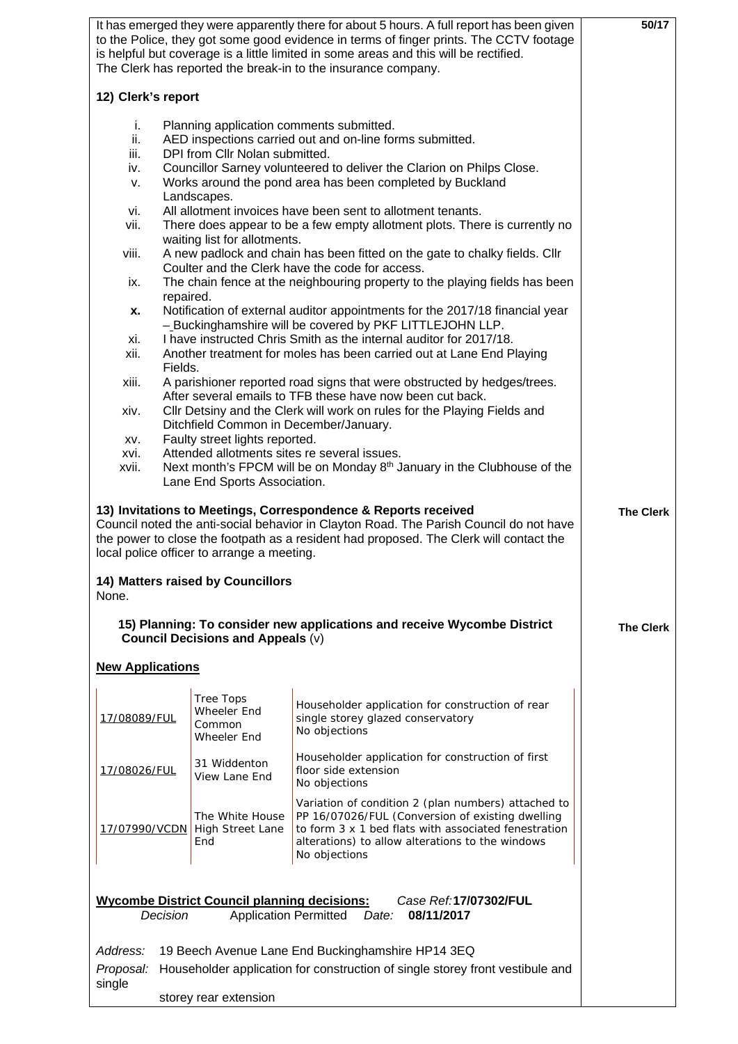|                                                                                                                                                                                                                                                                                                  |                                                                                                                                                                                                               | It has emerged they were apparently there for about 5 hours. A full report has been given<br>to the Police, they got some good evidence in terms of finger prints. The CCTV footage<br>is helpful but coverage is a little limited in some areas and this will be rectified.<br>The Clerk has reported the break-in to the insurance company. | 50/17     |  |  |  |
|--------------------------------------------------------------------------------------------------------------------------------------------------------------------------------------------------------------------------------------------------------------------------------------------------|---------------------------------------------------------------------------------------------------------------------------------------------------------------------------------------------------------------|-----------------------------------------------------------------------------------------------------------------------------------------------------------------------------------------------------------------------------------------------------------------------------------------------------------------------------------------------|-----------|--|--|--|
| 12) Clerk's report                                                                                                                                                                                                                                                                               |                                                                                                                                                                                                               |                                                                                                                                                                                                                                                                                                                                               |           |  |  |  |
| i.<br>ii.<br>iii.                                                                                                                                                                                                                                                                                | Planning application comments submitted.<br>AED inspections carried out and on-line forms submitted.<br>DPI from Cllr Nolan submitted.                                                                        |                                                                                                                                                                                                                                                                                                                                               |           |  |  |  |
| v.                                                                                                                                                                                                                                                                                               | Councillor Sarney volunteered to deliver the Clarion on Philps Close.<br>iv.<br>Works around the pond area has been completed by Buckland<br>Landscapes.                                                      |                                                                                                                                                                                                                                                                                                                                               |           |  |  |  |
| vi.<br>vii.                                                                                                                                                                                                                                                                                      | All allotment invoices have been sent to allotment tenants.<br>There does appear to be a few empty allotment plots. There is currently no<br>waiting list for allotments.                                     |                                                                                                                                                                                                                                                                                                                                               |           |  |  |  |
| viii.                                                                                                                                                                                                                                                                                            | A new padlock and chain has been fitted on the gate to chalky fields. Cllr<br>Coulter and the Clerk have the code for access.                                                                                 |                                                                                                                                                                                                                                                                                                                                               |           |  |  |  |
|                                                                                                                                                                                                                                                                                                  | The chain fence at the neighbouring property to the playing fields has been<br>ix.<br>repaired.                                                                                                               |                                                                                                                                                                                                                                                                                                                                               |           |  |  |  |
| x.<br>xi.                                                                                                                                                                                                                                                                                        | Notification of external auditor appointments for the 2017/18 financial year<br>-Buckinghamshire will be covered by PKF LITTLEJOHN LLP.<br>I have instructed Chris Smith as the internal auditor for 2017/18. |                                                                                                                                                                                                                                                                                                                                               |           |  |  |  |
| xii.                                                                                                                                                                                                                                                                                             |                                                                                                                                                                                                               | Another treatment for moles has been carried out at Lane End Playing                                                                                                                                                                                                                                                                          |           |  |  |  |
| xiii.                                                                                                                                                                                                                                                                                            | Fields.<br>A parishioner reported road signs that were obstructed by hedges/trees.<br>After several emails to TFB these have now been cut back.                                                               |                                                                                                                                                                                                                                                                                                                                               |           |  |  |  |
| xiv.                                                                                                                                                                                                                                                                                             |                                                                                                                                                                                                               | Cllr Detsiny and the Clerk will work on rules for the Playing Fields and<br>Ditchfield Common in December/January.                                                                                                                                                                                                                            |           |  |  |  |
| xvi.                                                                                                                                                                                                                                                                                             | Faulty street lights reported.<br>XV.<br>Attended allotments sites re several issues.                                                                                                                         |                                                                                                                                                                                                                                                                                                                                               |           |  |  |  |
| xvii.                                                                                                                                                                                                                                                                                            | Lane End Sports Association.                                                                                                                                                                                  | Next month's FPCM will be on Monday 8 <sup>th</sup> January in the Clubhouse of the                                                                                                                                                                                                                                                           |           |  |  |  |
| 13) Invitations to Meetings, Correspondence & Reports received<br>Council noted the anti-social behavior in Clayton Road. The Parish Council do not have<br>the power to close the footpath as a resident had proposed. The Clerk will contact the<br>local police officer to arrange a meeting. | <b>The Clerk</b>                                                                                                                                                                                              |                                                                                                                                                                                                                                                                                                                                               |           |  |  |  |
| None.                                                                                                                                                                                                                                                                                            | 14) Matters raised by Councillors                                                                                                                                                                             |                                                                                                                                                                                                                                                                                                                                               |           |  |  |  |
|                                                                                                                                                                                                                                                                                                  | <b>Council Decisions and Appeals (v)</b>                                                                                                                                                                      | 15) Planning: To consider new applications and receive Wycombe District                                                                                                                                                                                                                                                                       | The Clerk |  |  |  |
| <b>New Applications</b>                                                                                                                                                                                                                                                                          |                                                                                                                                                                                                               |                                                                                                                                                                                                                                                                                                                                               |           |  |  |  |
| 17/08089/FUL                                                                                                                                                                                                                                                                                     | <b>Tree Tops</b><br>Wheeler End<br>Common<br>Wheeler End                                                                                                                                                      | Householder application for construction of rear<br>single storey glazed conservatory<br>No objections                                                                                                                                                                                                                                        |           |  |  |  |
| 17/08026/FUL                                                                                                                                                                                                                                                                                     | 31 Widdenton<br>View Lane End                                                                                                                                                                                 | Householder application for construction of first<br>floor side extension<br>No objections                                                                                                                                                                                                                                                    |           |  |  |  |
| 17/07990/VCDN                                                                                                                                                                                                                                                                                    | The White House<br><b>High Street Lane</b><br>End                                                                                                                                                             | Variation of condition 2 (plan numbers) attached to<br>PP 16/07026/FUL (Conversion of existing dwelling<br>to form 3 x 1 bed flats with associated fenestration<br>alterations) to allow alterations to the windows<br>No objections                                                                                                          |           |  |  |  |
| Decision                                                                                                                                                                                                                                                                                         | <b>Wycombe District Council planning decisions:</b>                                                                                                                                                           | Case Ref:17/07302/FUL<br><b>Application Permitted</b><br>08/11/2017<br>Date:                                                                                                                                                                                                                                                                  |           |  |  |  |
| Address:                                                                                                                                                                                                                                                                                         |                                                                                                                                                                                                               | 19 Beech Avenue Lane End Buckinghamshire HP14 3EQ                                                                                                                                                                                                                                                                                             |           |  |  |  |
| Proposal:                                                                                                                                                                                                                                                                                        |                                                                                                                                                                                                               | Householder application for construction of single storey front vestibule and                                                                                                                                                                                                                                                                 |           |  |  |  |
| single                                                                                                                                                                                                                                                                                           | storey rear extension                                                                                                                                                                                         |                                                                                                                                                                                                                                                                                                                                               |           |  |  |  |